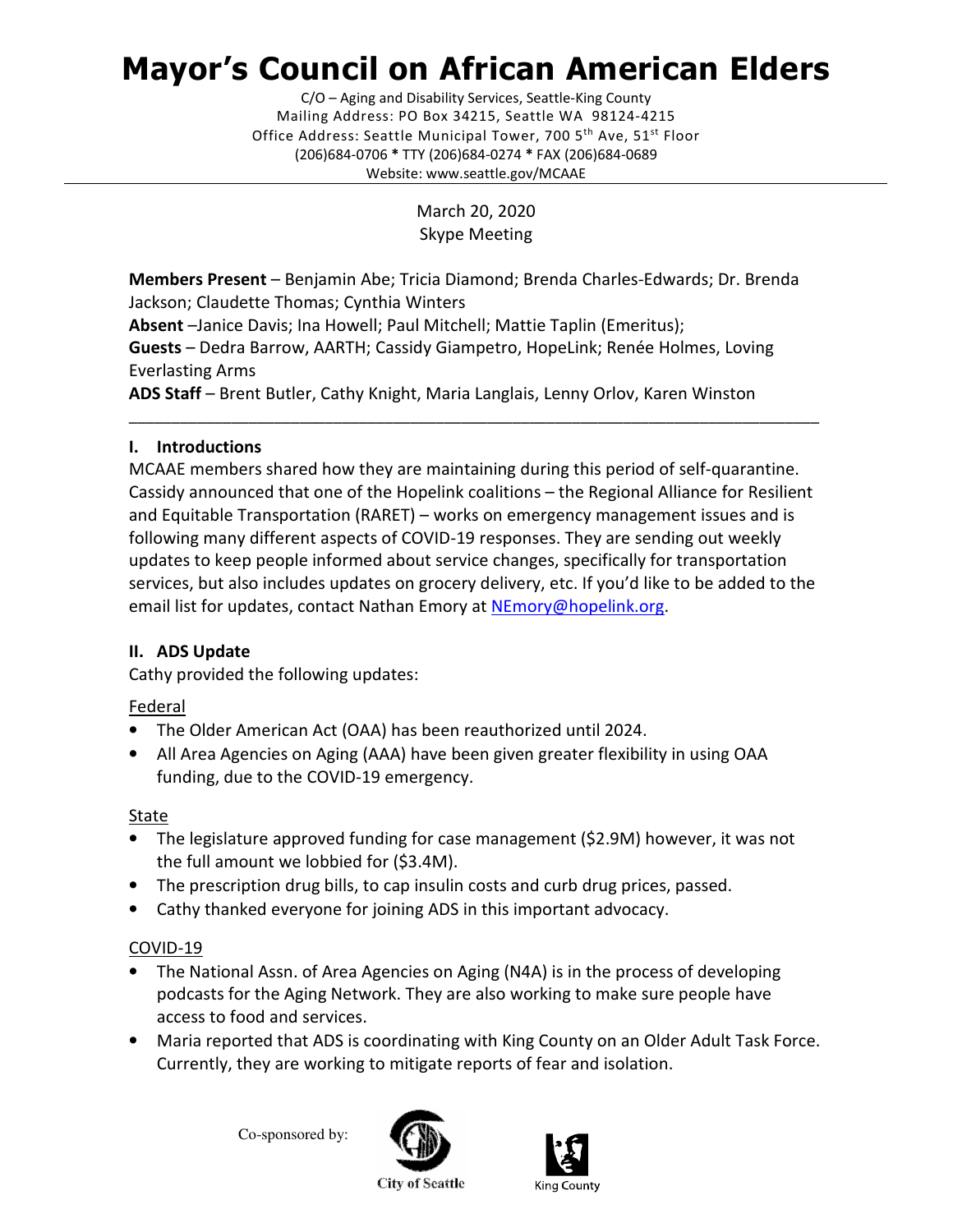# Mayor's Council on African American Elders

 Mailing Address: PO Box 34215, Seattle WA 98124-4215 Office Address: Seattle Municipal Tower, 700 5<sup>th</sup> Ave, 51<sup>st</sup> Floor (206)684-0706 \* TTY (206)684-0274 \* FAX (206)684-0689 C/O – Aging and Disability Services, Seattle-King County Website: <www.seattle.gov/MCAAE>

> March 20, 2020 Skype Meeting

 Members Present – Benjamin Abe; Tricia Diamond; Brenda Charles-Edwards; Dr. Brenda Jackson; Claudette Thomas; Cynthia Winters

Absent -Janice Davis; Ina Howell; Paul Mitchell; Mattie Taplin (Emeritus); Guests - Dedra Barrow, AARTH; Cassidy Giampetro, HopeLink; Renée Holmes, Loving Everlasting Arms

ADS Staff - Brent Butler, Cathy Knight, Maria Langlais, Lenny Orlov, Karen Winston

# I. Introductions

 MCAAE members shared how they are maintaining during this period of self-quarantine. Cassidy announced that one of the Hopelink coalitions – the Regional Alliance for Resilient and Equitable Transportation (RARET) – works on emergency management issues and is following many different aspects of COVID-19 responses. They are sending out weekly updates to keep people informed about service changes, specifically for transportation services, but also includes updates on grocery delivery, etc. If you'd like to be added to the email list for updates, contact Nathan Emory at **[NEmory@hopelink.org.](mailto:NEmory@hopelink.org)** 

\_\_\_\_\_\_\_\_\_\_\_\_\_\_\_\_\_\_\_\_\_\_\_\_\_\_\_\_\_\_\_\_\_\_\_\_\_\_\_\_\_\_\_\_\_\_\_\_\_\_\_\_\_\_\_\_\_\_\_\_\_\_\_\_\_\_\_\_\_\_\_\_\_\_\_\_\_\_\_\_\_

# II. ADS Update

Cathy provided the following updates:

# Federal

- The Older American Act (OAA) has been reauthorized until 2024.
- • All Area Agencies on Aging (AAA) have been given greater flexibility in using OAA funding, due to the COVID-19 emergency.

## State

- • The legislature approved funding for case management (\$2.9M) however, it was not the full amount we lobbied for (\$3.4M).
- The prescription drug bills, to cap insulin costs and curb drug prices, passed.
- Cathy thanked everyone for joining ADS in this important advocacy.

# COVID-19

- • The National Assn. of Area Agencies on Aging (N4A) is in the process of developing podcasts for the Aging Network. They are also working to make sure people have access to food and services.
- • Maria reported that ADS is coordinating with King County on an Older Adult Task Force. Currently, they are working to mitigate reports of fear and isolation.

Co-sponsored by:





**City of Seattle**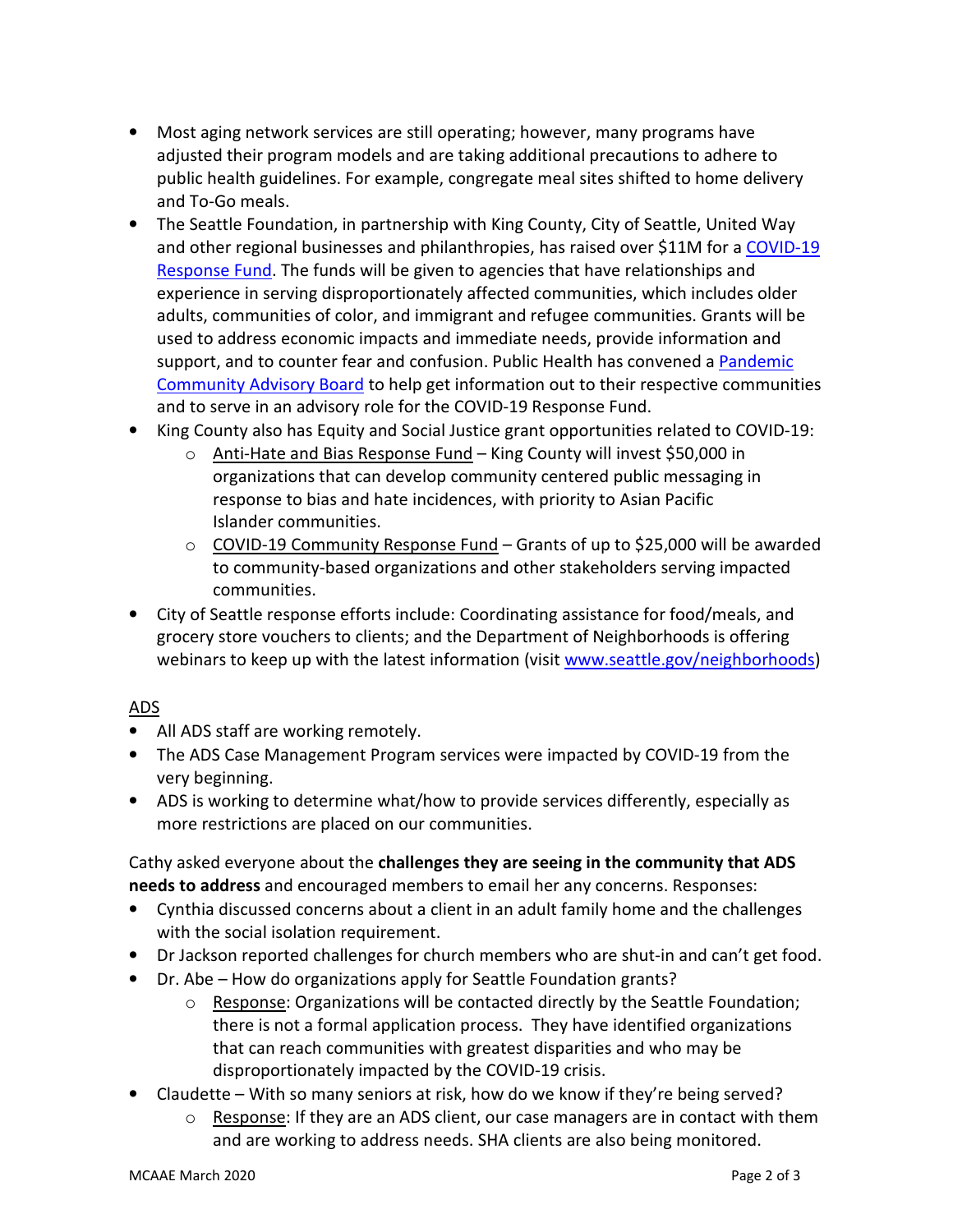- • Most aging network services are still operating; however, many programs have adjusted their program models and are taking additional precautions to adhere to public health guidelines. For example, congregate meal sites shifted to home delivery and To-Go meals.
- • The Seattle Foundation, in partnership with King County, City of Seattle, United Way and other regional businesses and philanthropies, has raised over \$11M for a COVID-19 Response Fund. The funds will be given to agencies that have relationships and experience in serving disproportionately affected communities, which includes older adults, communities of color, and immigrant and refugee communities. Grants will be used to address economic impacts and immediate needs, provide information and support, and to counter fear and confusion. Public Health has convened a **Pandemic** Community Advisory Board to help get information out to their respective communities and to serve in an advisory role for the COVID-19 Response Fund.
- • King County also has Equity and Social Justice grant opportunities related to COVID-19:
	- o Anti-Hate and Bias Response Fund King County will invest \$50,000 in organizations that can develop community centered public messaging in response to bias and hate incidences, with priority to Asian Pacific Islander communities.
	- o COVID-19 Community Response Fund Grants of up to \$25,000 will be awarded to community-based organizations and other stakeholders serving impacted communities.
- • City of Seattle response efforts include: Coordinating assistance for food/meals, and grocery store vouchers to clients; and the Department of Neighborhoods is offering webinars to keep up with the latest information (visit [www.seattle.gov/neighborhoods\)](www.seattle.gov/neighborhoods)

## ADS

- All ADS staff are working remotely.
- • The ADS Case Management Program services were impacted by COVID-19 from the very beginning.
- • ADS is working to determine what/how to provide services differently, especially as more restrictions are placed on our communities.

Cathy asked everyone about the challenges they are seeing in the community that ADS needs to address and encouraged members to email her any concerns. Responses:

- • Cynthia discussed concerns about a client in an adult family home and the challenges with the social isolation requirement.
- Dr Jackson reported challenges for church members who are shut-in and can't get food.
- • Dr. Abe How do organizations apply for Seattle Foundation grants?
	- o Response: Organizations will be contacted directly by the Seattle Foundation; there is not a formal application process. They have identified organizations that can reach communities with greatest disparities and who may be disproportionately impacted by the COVID-19 crisis.
- • Claudette With so many seniors at risk, how do we know if they're being served?
	- o Response: If they are an ADS client, our case managers are in contact with them and are working to address needs. SHA clients are also being monitored.